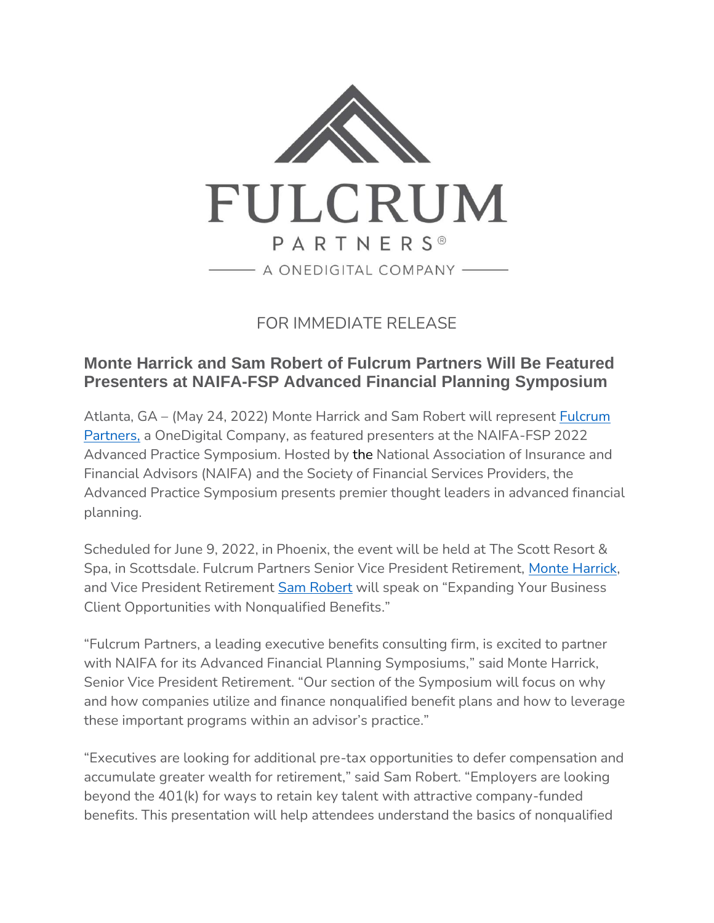

FOR IMMEDIATE RELEASE

## **Monte Harrick and Sam Robert of Fulcrum Partners Will Be Featured Presenters at NAIFA-FSP Advanced Financial Planning Symposium**

Atlanta, GA – (May 24, 2022) Monte Harrick and Sam Robert will represent [Fulcrum](https://fulcrumpartnersllc.com/)  [Partners,](https://fulcrumpartnersllc.com/) a OneDigital Company, as featured presenters at the NAIFA-FSP 2022 Advanced Practice Symposium. Hosted by the National Association of Insurance and Financial Advisors (NAIFA) and the Society of Financial Services Providers, the Advanced Practice Symposium presents premier thought leaders in advanced financial planning.

Scheduled for June 9, 2022, in Phoenix, the event will be held at The Scott Resort & Spa, in Scottsdale. Fulcrum Partners Senior Vice President Retirement, [Monte Harrick,](https://fulcrumpartnersllc.com/team/monte-harrick) and Vice President Retirement [Sam Robert](https://fulcrumpartnersllc.com/team/sam-robert/) will speak on "Expanding Your Business Client Opportunities with Nonqualified Benefits."

"Fulcrum Partners, a leading executive benefits consulting firm, is excited to partner with NAIFA for its Advanced Financial Planning Symposiums," said Monte Harrick, Senior Vice President Retirement. "Our section of the Symposium will focus on why and how companies utilize and finance nonqualified benefit plans and how to leverage these important programs within an advisor's practice."

"Executives are looking for additional pre-tax opportunities to defer compensation and accumulate greater wealth for retirement," said Sam Robert. "Employers are looking beyond the 401(k) for ways to retain key talent with attractive company-funded benefits. This presentation will help attendees understand the basics of nonqualified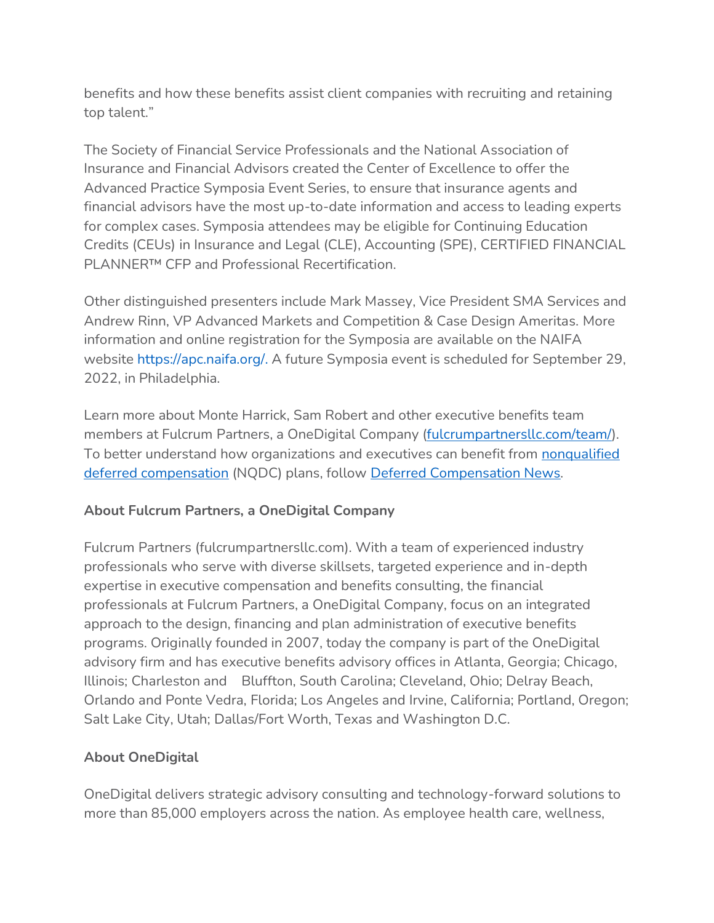benefits and how these benefits assist client companies with recruiting and retaining top talent."

The Society of Financial Service Professionals and the National Association of Insurance and Financial Advisors created the Center of Excellence to offer the Advanced Practice Symposia Event Series, to ensure that insurance agents and financial advisors have the most up-to-date information and access to leading experts for complex cases. Symposia attendees may be eligible for Continuing Education Credits (CEUs) in Insurance and Legal (CLE), Accounting (SPE), CERTIFIED FINANCIAL PLANNER™ CFP and Professional Recertification.

Other distinguished presenters include Mark Massey, Vice President SMA Services and Andrew Rinn, VP Advanced Markets and Competition & Case Design Ameritas. More information and online registration for the Symposia are available on the NAIFA website [https://apc.naifa.org/.](https://apc.naifa.org/) A future Symposia event is scheduled for September 29, 2022, in Philadelphia.

Learn more about Monte Harrick, Sam Robert and other executive benefits team members at Fulcrum Partners, a OneDigital Company [\(fulcrumpartnersllc.com/team/\)](https://fulcrumpartnersllc.com/team/). To better understand how organizations and executives can benefit from nonqualified [deferred compensation](https://fulcrumpartnersllc.com/409a-nonqualified-deferred-compensation/) (NQDC) plans, follow [Deferred Compensation News](https://www.fulcrumpartnersllc.com/news/)*.*

## **About Fulcrum Partners, a OneDigital Company**

Fulcrum Partners (fulcrumpartnersllc.com). With a team of experienced industry professionals who serve with diverse skillsets, targeted experience and in-depth expertise in executive compensation and benefits consulting, the financial professionals at Fulcrum Partners, a OneDigital Company, focus on an integrated approach to the design, financing and plan administration of executive benefits programs. Originally founded in 2007, today the company is part of the OneDigital advisory firm and has executive benefits advisory offices in Atlanta, Georgia; Chicago, Illinois; Charleston and Bluffton, South Carolina; Cleveland, Ohio; Delray Beach, Orlando and Ponte Vedra, Florida; Los Angeles and Irvine, California; Portland, Oregon; Salt Lake City, Utah; Dallas/Fort Worth, Texas and Washington D.C.

## **About OneDigital**

OneDigital delivers strategic advisory consulting and technology-forward solutions to more than 85,000 employers across the nation. As employee health care, wellness,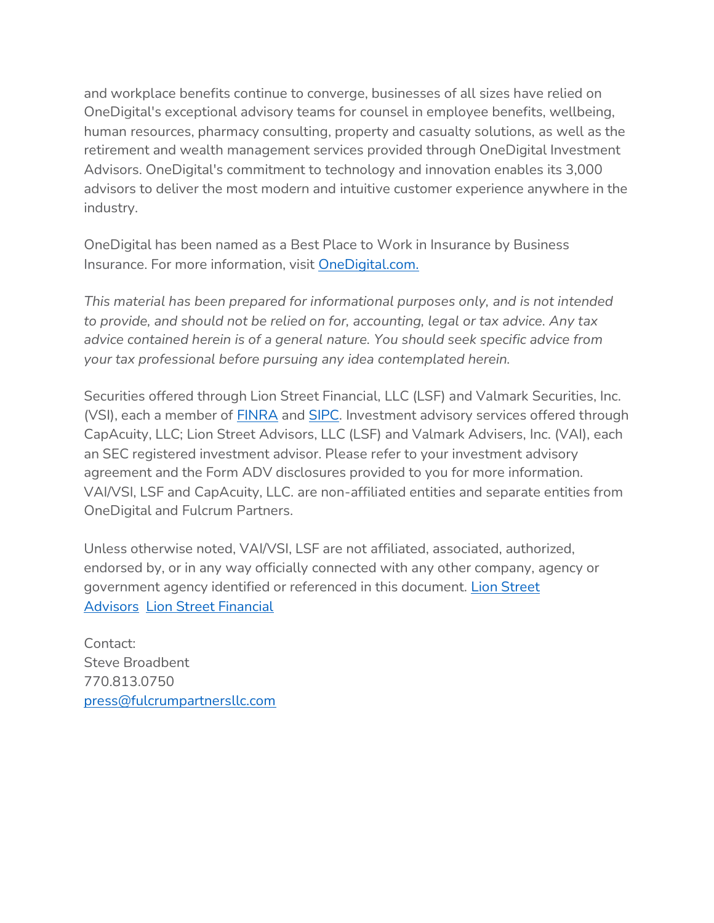and workplace benefits continue to converge, businesses of all sizes have relied on OneDigital's exceptional advisory teams for counsel in employee benefits, wellbeing, human resources, pharmacy consulting, property and casualty solutions, as well as the retirement and wealth management services provided through OneDigital Investment Advisors. OneDigital's commitment to technology and innovation enables its 3,000 advisors to deliver the most modern and intuitive customer experience anywhere in the industry.

OneDigital has been named as a Best Place to Work in Insurance by Business Insurance. For more information, visit [OneDigital.com.](http://www.onedigital.com/)

*This material has been prepared for informational purposes only, and is not intended to provide, and should not be relied on for, accounting, legal or tax advice. Any tax advice contained herein is of a general nature. You should seek specific advice from your tax professional before pursuing any idea contemplated herein.*

Securities offered through Lion Street Financial, LLC (LSF) and Valmark Securities, Inc. (VSI), each a member of **[FINRA](http://www.finra.org/)** and **SIPC**. Investment advisory services offered through CapAcuity, LLC; Lion Street Advisors, LLC (LSF) and Valmark Advisers, Inc. (VAI), each an SEC registered investment advisor. Please refer to your investment advisory agreement and the Form ADV disclosures provided to you for more information. VAI/VSI, LSF and CapAcuity, LLC. are non-affiliated entities and separate entities from OneDigital and Fulcrum Partners.

Unless otherwise noted, VAI/VSI, LSF are not affiliated, associated, authorized, endorsed by, or in any way officially connected with any other company, agency or government agency identified or referenced in this document. [Lion Street](https://lionstreet.com/wp-content/uploads/2021/05/Lion-Street-Advisors-Form-CRS-2020-10-30.pdf)  [Advisors](https://lionstreet.com/wp-content/uploads/2021/05/Lion-Street-Advisors-Form-CRS-2020-10-30.pdf) [Lion Street Financial](https://lionstreet.com/wp-content/uploads/2021/05/Lion-Street-Financial-Form-CRS.pdf)

Contact: Steve Broadbent 770.813.0750 [press@fulcrumpartnersllc.com](mailto:press@fulcrumpartnersllc.com)